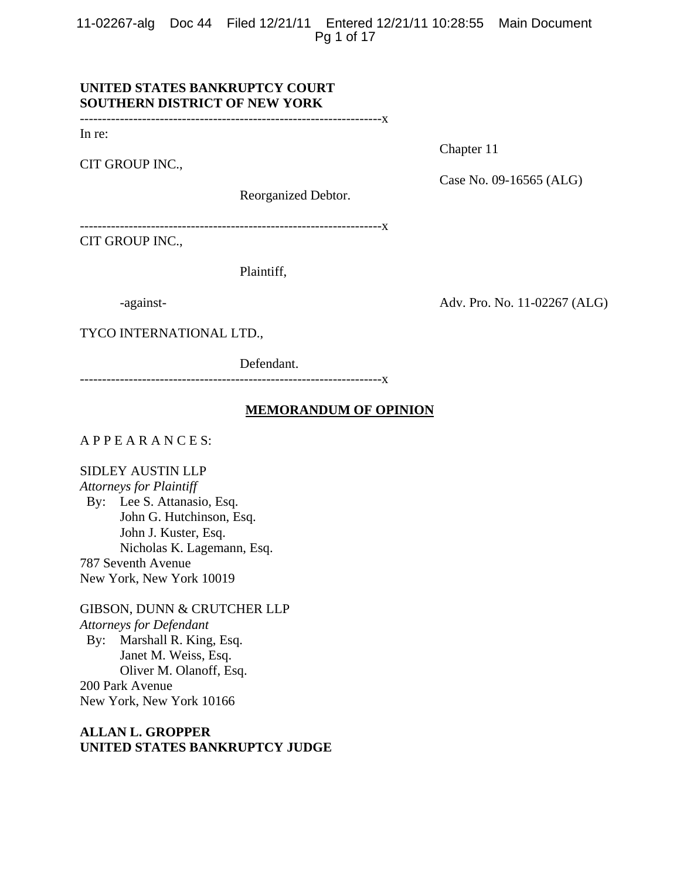11-02267-alg Doc 44 Filed 12/21/11 Entered 12/21/11 10:28:55 Main Document Pg 1 of 17

# **UNITED STATES BANKRUPTCY COURT SOUTHERN DISTRICT OF NEW YORK**

--------------------------------------------------------------------x

In re:

CIT GROUP INC.,

Chapter 11

Case No. 09-16565 (ALG)

Reorganized Debtor.

--------------------------------------------------------------------x

CIT GROUP INC.,

Plaintiff,

-against-<br>
Adv. Pro. No. 11-02267 (ALG)

TYCO INTERNATIONAL LTD.,

Defendant.

--------------------------------------------------------------------x

# **MEMORANDUM OF OPINION**

# A P P E A R A N C E S:

SIDLEY AUSTIN LLP

*Attorneys for Plaintiff*  By: Lee S. Attanasio, Esq. John G. Hutchinson, Esq. John J. Kuster, Esq. Nicholas K. Lagemann, Esq. 787 Seventh Avenue New York, New York 10019

GIBSON, DUNN & CRUTCHER LLP *Attorneys for Defendant*  By: Marshall R. King, Esq. Janet M. Weiss, Esq. Oliver M. Olanoff, Esq. 200 Park Avenue New York, New York 10166

**ALLAN L. GROPPER UNITED STATES BANKRUPTCY JUDGE**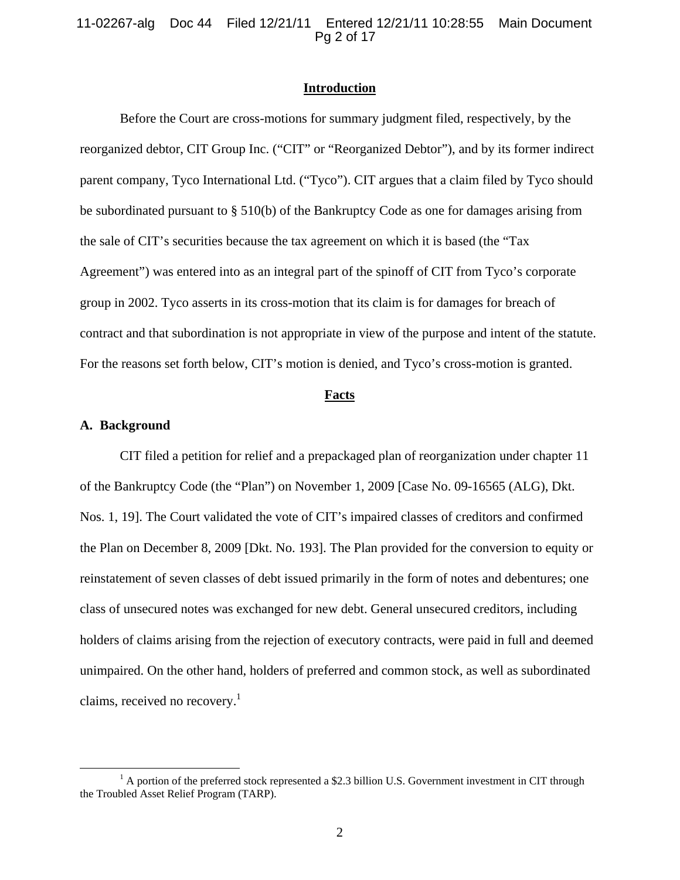11-02267-alg Doc 44 Filed 12/21/11 Entered 12/21/11 10:28:55 Main Document Pg 2 of 17

### **Introduction**

Before the Court are cross-motions for summary judgment filed, respectively, by the reorganized debtor, CIT Group Inc. ("CIT" or "Reorganized Debtor"), and by its former indirect parent company, Tyco International Ltd. ("Tyco"). CIT argues that a claim filed by Tyco should be subordinated pursuant to § 510(b) of the Bankruptcy Code as one for damages arising from the sale of CIT's securities because the tax agreement on which it is based (the "Tax Agreement") was entered into as an integral part of the spinoff of CIT from Tyco's corporate group in 2002. Tyco asserts in its cross-motion that its claim is for damages for breach of contract and that subordination is not appropriate in view of the purpose and intent of the statute. For the reasons set forth below, CIT's motion is denied, and Tyco's cross-motion is granted.

#### **Facts**

#### **A. Background**

CIT filed a petition for relief and a prepackaged plan of reorganization under chapter 11 of the Bankruptcy Code (the "Plan") on November 1, 2009 [Case No. 09-16565 (ALG), Dkt. Nos. 1, 19]. The Court validated the vote of CIT's impaired classes of creditors and confirmed the Plan on December 8, 2009 [Dkt. No. 193]. The Plan provided for the conversion to equity or reinstatement of seven classes of debt issued primarily in the form of notes and debentures; one class of unsecured notes was exchanged for new debt. General unsecured creditors, including holders of claims arising from the rejection of executory contracts, were paid in full and deemed unimpaired. On the other hand, holders of preferred and common stock, as well as subordinated claims, received no recovery.<sup>1</sup>

 $\frac{1}{1}$  $<sup>1</sup>$  A portion of the preferred stock represented a \$2.3 billion U.S. Government investment in CIT through</sup> the Troubled Asset Relief Program (TARP).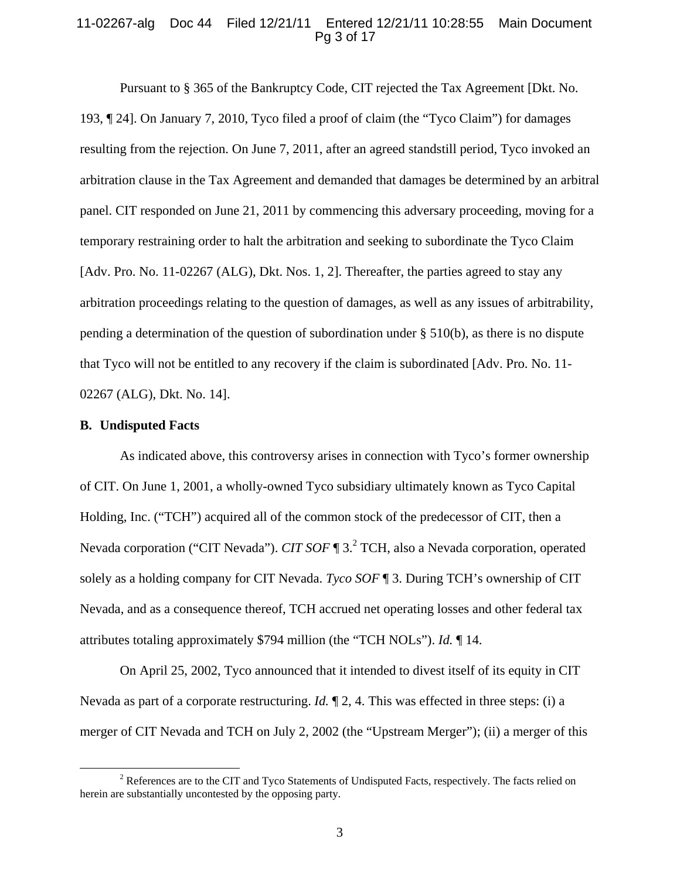# 11-02267-alg Doc 44 Filed 12/21/11 Entered 12/21/11 10:28:55 Main Document Pg 3 of 17

Pursuant to § 365 of the Bankruptcy Code, CIT rejected the Tax Agreement [Dkt. No. 193, ¶ 24]. On January 7, 2010, Tyco filed a proof of claim (the "Tyco Claim") for damages resulting from the rejection. On June 7, 2011, after an agreed standstill period, Tyco invoked an arbitration clause in the Tax Agreement and demanded that damages be determined by an arbitral panel. CIT responded on June 21, 2011 by commencing this adversary proceeding, moving for a temporary restraining order to halt the arbitration and seeking to subordinate the Tyco Claim [Adv. Pro. No. 11-02267 (ALG), Dkt. Nos. 1, 2]. Thereafter, the parties agreed to stay any arbitration proceedings relating to the question of damages, as well as any issues of arbitrability, pending a determination of the question of subordination under § 510(b), as there is no dispute that Tyco will not be entitled to any recovery if the claim is subordinated [Adv. Pro. No. 11- 02267 (ALG), Dkt. No. 14].

#### **B. Undisputed Facts**

As indicated above, this controversy arises in connection with Tyco's former ownership of CIT. On June 1, 2001, a wholly-owned Tyco subsidiary ultimately known as Tyco Capital Holding, Inc. ("TCH") acquired all of the common stock of the predecessor of CIT, then a Nevada corporation ("CIT Nevada"). *CIT SOF* ¶ 3.<sup>2</sup> TCH, also a Nevada corporation, operated solely as a holding company for CIT Nevada. *Tyco SOF* ¶ 3. During TCH's ownership of CIT Nevada, and as a consequence thereof, TCH accrued net operating losses and other federal tax attributes totaling approximately \$794 million (the "TCH NOLs"). *Id.* ¶ 14.

On April 25, 2002, Tyco announced that it intended to divest itself of its equity in CIT Nevada as part of a corporate restructuring. *Id.* ¶ 2, 4. This was effected in three steps: (i) a merger of CIT Nevada and TCH on July 2, 2002 (the "Upstream Merger"); (ii) a merger of this

 $\overline{\phantom{a}}$ <sup>2</sup> References are to the CIT and Tyco Statements of Undisputed Facts, respectively. The facts relied on herein are substantially uncontested by the opposing party.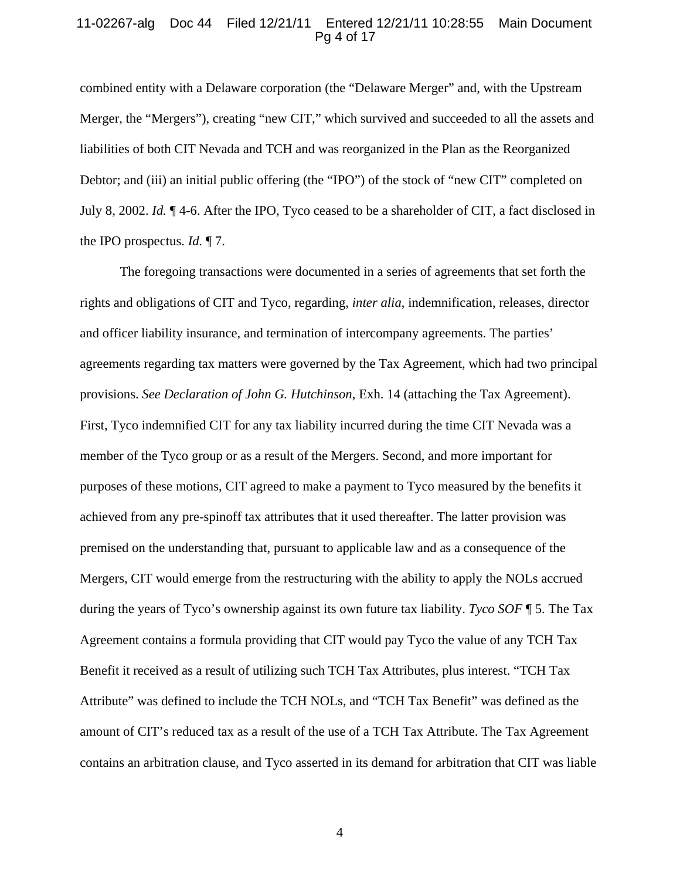### 11-02267-alg Doc 44 Filed 12/21/11 Entered 12/21/11 10:28:55 Main Document Pg 4 of 17

combined entity with a Delaware corporation (the "Delaware Merger" and, with the Upstream Merger, the "Mergers"), creating "new CIT," which survived and succeeded to all the assets and liabilities of both CIT Nevada and TCH and was reorganized in the Plan as the Reorganized Debtor; and (iii) an initial public offering (the "IPO") of the stock of "new CIT" completed on July 8, 2002. *Id.* ¶ 4-6. After the IPO, Tyco ceased to be a shareholder of CIT, a fact disclosed in the IPO prospectus. *Id.* ¶ 7.

The foregoing transactions were documented in a series of agreements that set forth the rights and obligations of CIT and Tyco, regarding, *inter alia*, indemnification, releases, director and officer liability insurance, and termination of intercompany agreements. The parties' agreements regarding tax matters were governed by the Tax Agreement, which had two principal provisions. *See Declaration of John G. Hutchinson*, Exh. 14 (attaching the Tax Agreement). First, Tyco indemnified CIT for any tax liability incurred during the time CIT Nevada was a member of the Tyco group or as a result of the Mergers. Second, and more important for purposes of these motions, CIT agreed to make a payment to Tyco measured by the benefits it achieved from any pre-spinoff tax attributes that it used thereafter. The latter provision was premised on the understanding that, pursuant to applicable law and as a consequence of the Mergers, CIT would emerge from the restructuring with the ability to apply the NOLs accrued during the years of Tyco's ownership against its own future tax liability. *Tyco SOF* ¶ 5. The Tax Agreement contains a formula providing that CIT would pay Tyco the value of any TCH Tax Benefit it received as a result of utilizing such TCH Tax Attributes, plus interest. "TCH Tax Attribute" was defined to include the TCH NOLs, and "TCH Tax Benefit" was defined as the amount of CIT's reduced tax as a result of the use of a TCH Tax Attribute. The Tax Agreement contains an arbitration clause, and Tyco asserted in its demand for arbitration that CIT was liable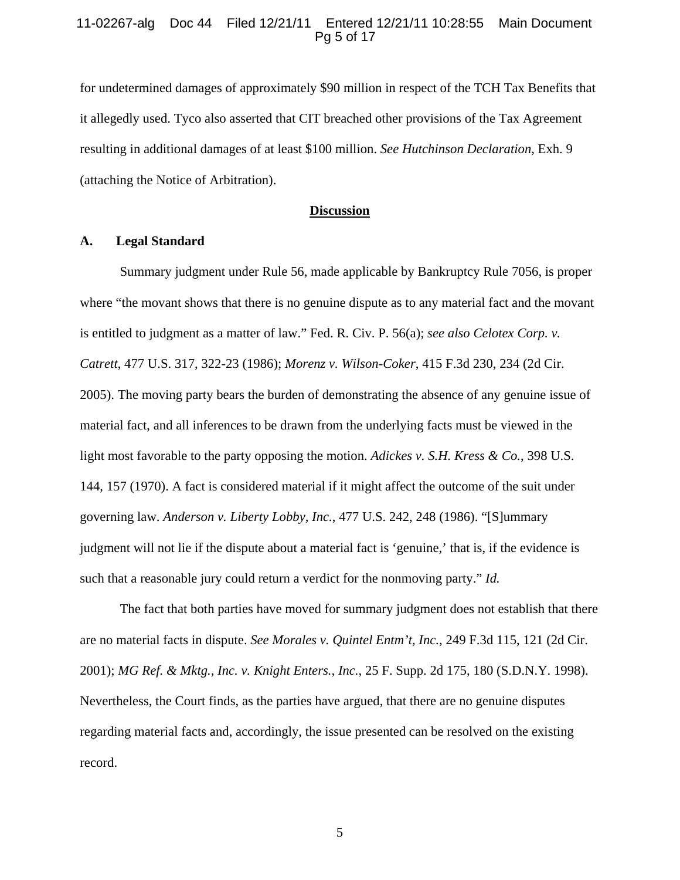### 11-02267-alg Doc 44 Filed 12/21/11 Entered 12/21/11 10:28:55 Main Document Pg 5 of 17

for undetermined damages of approximately \$90 million in respect of the TCH Tax Benefits that it allegedly used. Tyco also asserted that CIT breached other provisions of the Tax Agreement resulting in additional damages of at least \$100 million. *See Hutchinson Declaration*, Exh. 9 (attaching the Notice of Arbitration).

### **Discussion**

# **A. Legal Standard**

Summary judgment under Rule 56, made applicable by Bankruptcy Rule 7056, is proper where "the movant shows that there is no genuine dispute as to any material fact and the movant is entitled to judgment as a matter of law." Fed. R. Civ. P. 56(a); *see also Celotex Corp. v. Catrett*, 477 U.S. 317, 322-23 (1986); *Morenz v. Wilson-Coker*, 415 F.3d 230, 234 (2d Cir. 2005). The moving party bears the burden of demonstrating the absence of any genuine issue of material fact, and all inferences to be drawn from the underlying facts must be viewed in the light most favorable to the party opposing the motion. *Adickes v. S.H. Kress & Co.*, 398 U.S. 144, 157 (1970). A fact is considered material if it might affect the outcome of the suit under governing law. *Anderson v. Liberty Lobby, Inc.*, 477 U.S. 242, 248 (1986). "[S]ummary judgment will not lie if the dispute about a material fact is 'genuine,' that is, if the evidence is such that a reasonable jury could return a verdict for the nonmoving party." *Id.*

The fact that both parties have moved for summary judgment does not establish that there are no material facts in dispute. *See Morales v. Quintel Entm't, Inc.*, 249 F.3d 115, 121 (2d Cir. 2001); *MG Ref. & Mktg., Inc. v. Knight Enters., Inc.*, 25 F. Supp. 2d 175, 180 (S.D.N.Y. 1998). Nevertheless, the Court finds, as the parties have argued, that there are no genuine disputes regarding material facts and, accordingly, the issue presented can be resolved on the existing record.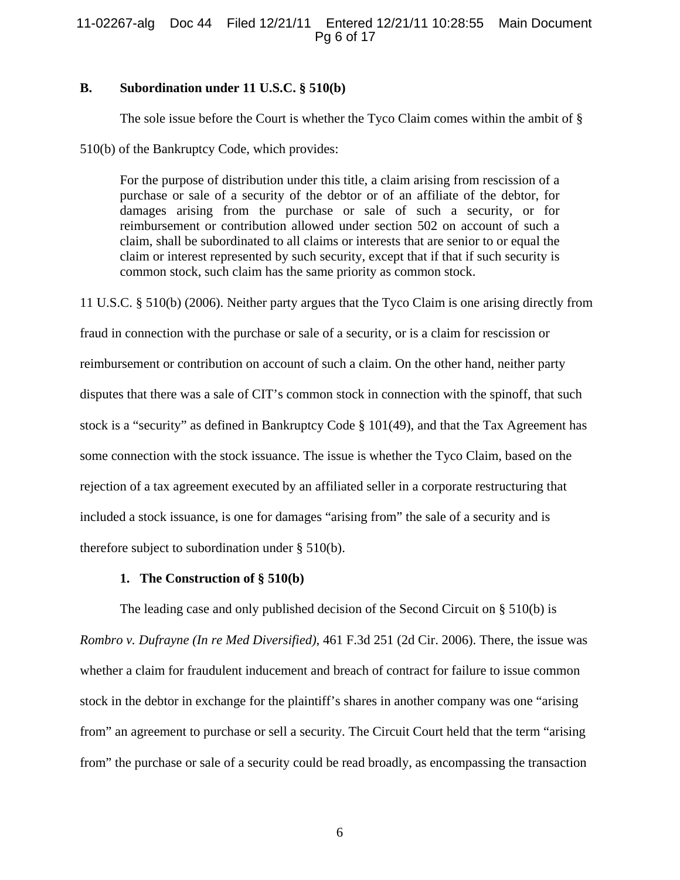# 11-02267-alg Doc 44 Filed 12/21/11 Entered 12/21/11 10:28:55 Main Document Pg 6 of 17

# **B. Subordination under 11 U.S.C. § 510(b)**

The sole issue before the Court is whether the Tyco Claim comes within the ambit of §

510(b) of the Bankruptcy Code, which provides:

For the purpose of distribution under this title, a claim arising from rescission of a purchase or sale of a security of the debtor or of an affiliate of the debtor, for damages arising from the purchase or sale of such a security, or for reimbursement or contribution allowed under section 502 on account of such a claim, shall be subordinated to all claims or interests that are senior to or equal the claim or interest represented by such security, except that if that if such security is common stock, such claim has the same priority as common stock.

11 U.S.C. § 510(b) (2006). Neither party argues that the Tyco Claim is one arising directly from fraud in connection with the purchase or sale of a security, or is a claim for rescission or reimbursement or contribution on account of such a claim. On the other hand, neither party disputes that there was a sale of CIT's common stock in connection with the spinoff, that such stock is a "security" as defined in Bankruptcy Code § 101(49), and that the Tax Agreement has some connection with the stock issuance. The issue is whether the Tyco Claim, based on the rejection of a tax agreement executed by an affiliated seller in a corporate restructuring that included a stock issuance, is one for damages "arising from" the sale of a security and is therefore subject to subordination under § 510(b).

# **1. The Construction of § 510(b)**

The leading case and only published decision of the Second Circuit on § 510(b) is *Rombro v. Dufrayne (In re Med Diversified)*, 461 F.3d 251 (2d Cir. 2006). There, the issue was whether a claim for fraudulent inducement and breach of contract for failure to issue common stock in the debtor in exchange for the plaintiff's shares in another company was one "arising from" an agreement to purchase or sell a security. The Circuit Court held that the term "arising from" the purchase or sale of a security could be read broadly, as encompassing the transaction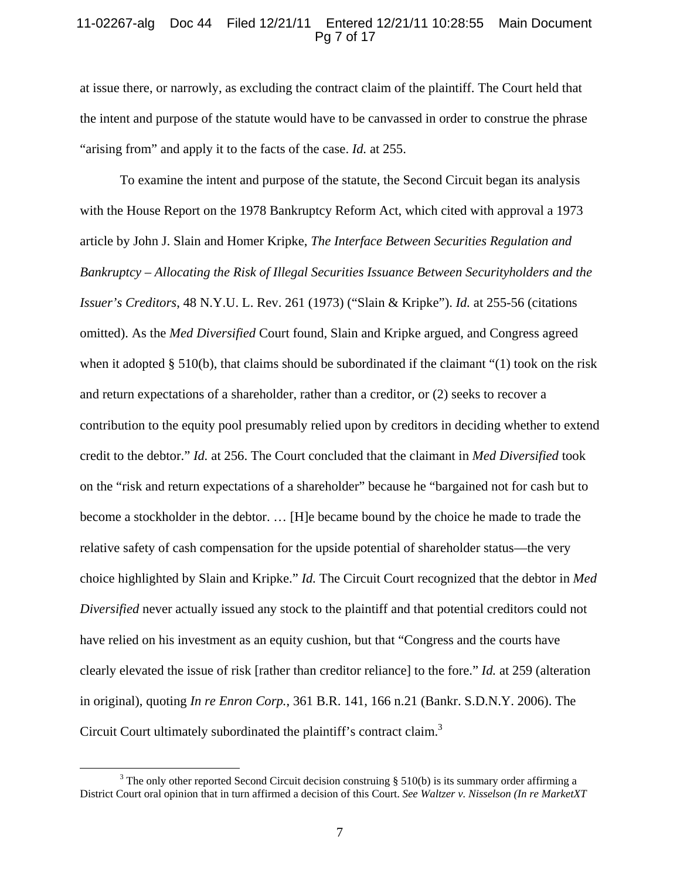# 11-02267-alg Doc 44 Filed 12/21/11 Entered 12/21/11 10:28:55 Main Document Pg 7 of 17

at issue there, or narrowly, as excluding the contract claim of the plaintiff. The Court held that the intent and purpose of the statute would have to be canvassed in order to construe the phrase "arising from" and apply it to the facts of the case. *Id.* at 255.

To examine the intent and purpose of the statute, the Second Circuit began its analysis with the House Report on the 1978 Bankruptcy Reform Act, which cited with approval a 1973 article by John J. Slain and Homer Kripke, *The Interface Between Securities Regulation and Bankruptcy – Allocating the Risk of Illegal Securities Issuance Between Securityholders and the Issuer's Creditors*, 48 N.Y.U. L. Rev. 261 (1973) ("Slain & Kripke"). *Id.* at 255-56 (citations omitted). As the *Med Diversified* Court found, Slain and Kripke argued, and Congress agreed when it adopted § 510(b), that claims should be subordinated if the claimant " $(1)$  took on the risk and return expectations of a shareholder, rather than a creditor, or (2) seeks to recover a contribution to the equity pool presumably relied upon by creditors in deciding whether to extend credit to the debtor." *Id.* at 256. The Court concluded that the claimant in *Med Diversified* took on the "risk and return expectations of a shareholder" because he "bargained not for cash but to become a stockholder in the debtor. … [H]e became bound by the choice he made to trade the relative safety of cash compensation for the upside potential of shareholder status—the very choice highlighted by Slain and Kripke." *Id.* The Circuit Court recognized that the debtor in *Med Diversified* never actually issued any stock to the plaintiff and that potential creditors could not have relied on his investment as an equity cushion, but that "Congress and the courts have clearly elevated the issue of risk [rather than creditor reliance] to the fore." *Id.* at 259 (alteration in original), quoting *In re Enron Corp.*, 361 B.R. 141, 166 n.21 (Bankr. S.D.N.Y. 2006). The Circuit Court ultimately subordinated the plaintiff's contract claim.<sup>3</sup>

 $\frac{1}{3}$  $3$  The only other reported Second Circuit decision construing  $\S$  510(b) is its summary order affirming a District Court oral opinion that in turn affirmed a decision of this Court. *See Waltzer v. Nisselson (In re MarketXT*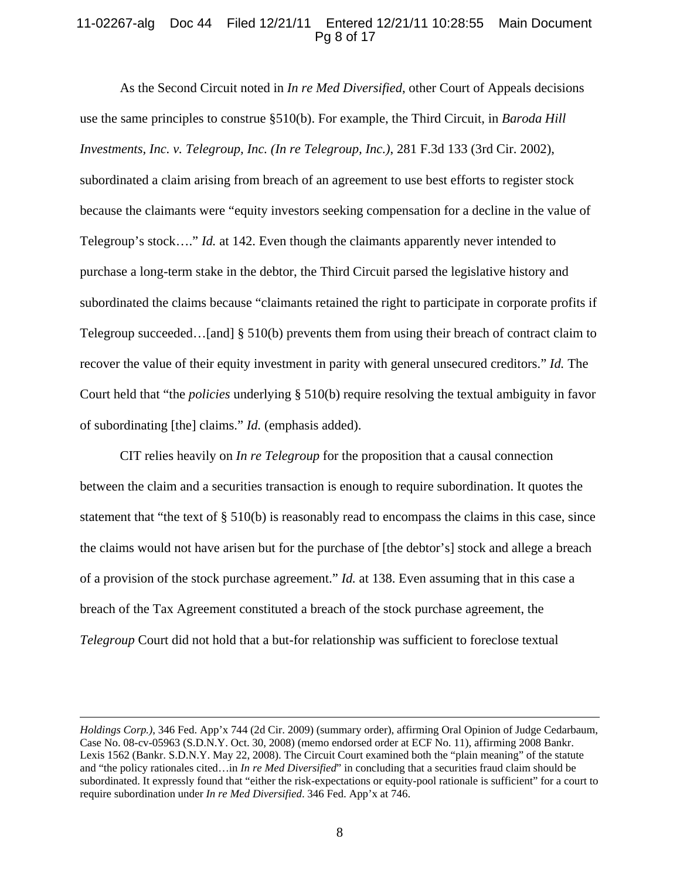# 11-02267-alg Doc 44 Filed 12/21/11 Entered 12/21/11 10:28:55 Main Document Pg 8 of 17

As the Second Circuit noted in *In re Med Diversified*, other Court of Appeals decisions use the same principles to construe §510(b). For example, the Third Circuit, in *Baroda Hill Investments, Inc. v. Telegroup, Inc. (In re Telegroup, Inc.)*, 281 F.3d 133 (3rd Cir. 2002), subordinated a claim arising from breach of an agreement to use best efforts to register stock because the claimants were "equity investors seeking compensation for a decline in the value of Telegroup's stock…." *Id.* at 142. Even though the claimants apparently never intended to purchase a long-term stake in the debtor, the Third Circuit parsed the legislative history and subordinated the claims because "claimants retained the right to participate in corporate profits if Telegroup succeeded…[and] § 510(b) prevents them from using their breach of contract claim to recover the value of their equity investment in parity with general unsecured creditors." *Id.* The Court held that "the *policies* underlying § 510(b) require resolving the textual ambiguity in favor of subordinating [the] claims." *Id.* (emphasis added).

CIT relies heavily on *In re Telegroup* for the proposition that a causal connection between the claim and a securities transaction is enough to require subordination. It quotes the statement that "the text of  $\S 510(b)$  is reasonably read to encompass the claims in this case, since the claims would not have arisen but for the purchase of [the debtor's] stock and allege a breach of a provision of the stock purchase agreement." *Id.* at 138. Even assuming that in this case a breach of the Tax Agreement constituted a breach of the stock purchase agreement, the *Telegroup* Court did not hold that a but-for relationship was sufficient to foreclose textual

 $\overline{a}$ 

*Holdings Corp.)*, 346 Fed. App'x 744 (2d Cir. 2009) (summary order), affirming Oral Opinion of Judge Cedarbaum, Case No. 08-cv-05963 (S.D.N.Y. Oct. 30, 2008) (memo endorsed order at ECF No. 11), affirming 2008 Bankr. Lexis 1562 (Bankr. S.D.N.Y. May 22, 2008). The Circuit Court examined both the "plain meaning" of the statute and "the policy rationales cited…in *In re Med Diversified*" in concluding that a securities fraud claim should be subordinated. It expressly found that "either the risk-expectations or equity-pool rationale is sufficient" for a court to require subordination under *In re Med Diversified*. 346 Fed. App'x at 746.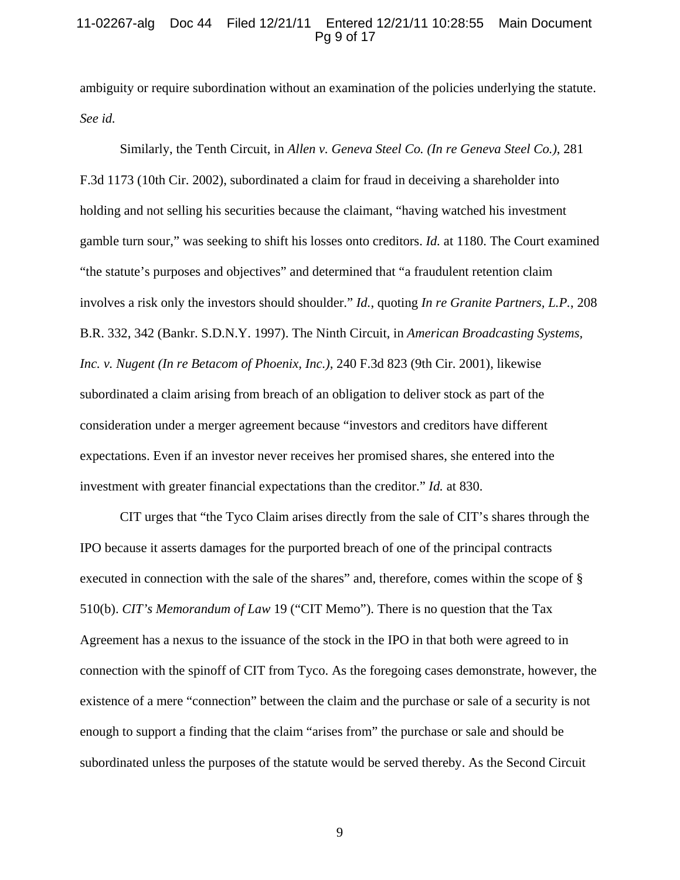### 11-02267-alg Doc 44 Filed 12/21/11 Entered 12/21/11 10:28:55 Main Document Pg 9 of 17

ambiguity or require subordination without an examination of the policies underlying the statute. *See id.* 

Similarly, the Tenth Circuit, in *Allen v. Geneva Steel Co. (In re Geneva Steel Co.)*, 281 F.3d 1173 (10th Cir. 2002), subordinated a claim for fraud in deceiving a shareholder into holding and not selling his securities because the claimant, "having watched his investment gamble turn sour," was seeking to shift his losses onto creditors. *Id.* at 1180. The Court examined "the statute's purposes and objectives" and determined that "a fraudulent retention claim involves a risk only the investors should shoulder." *Id.*, quoting *In re Granite Partners, L.P.*, 208 B.R. 332, 342 (Bankr. S.D.N.Y. 1997). The Ninth Circuit, in *American Broadcasting Systems, Inc. v. Nugent (In re Betacom of Phoenix, Inc.)*, 240 F.3d 823 (9th Cir. 2001), likewise subordinated a claim arising from breach of an obligation to deliver stock as part of the consideration under a merger agreement because "investors and creditors have different expectations. Even if an investor never receives her promised shares, she entered into the investment with greater financial expectations than the creditor." *Id.* at 830.

CIT urges that "the Tyco Claim arises directly from the sale of CIT's shares through the IPO because it asserts damages for the purported breach of one of the principal contracts executed in connection with the sale of the shares" and, therefore, comes within the scope of § 510(b). *CIT's Memorandum of Law* 19 ("CIT Memo"). There is no question that the Tax Agreement has a nexus to the issuance of the stock in the IPO in that both were agreed to in connection with the spinoff of CIT from Tyco. As the foregoing cases demonstrate, however, the existence of a mere "connection" between the claim and the purchase or sale of a security is not enough to support a finding that the claim "arises from" the purchase or sale and should be subordinated unless the purposes of the statute would be served thereby. As the Second Circuit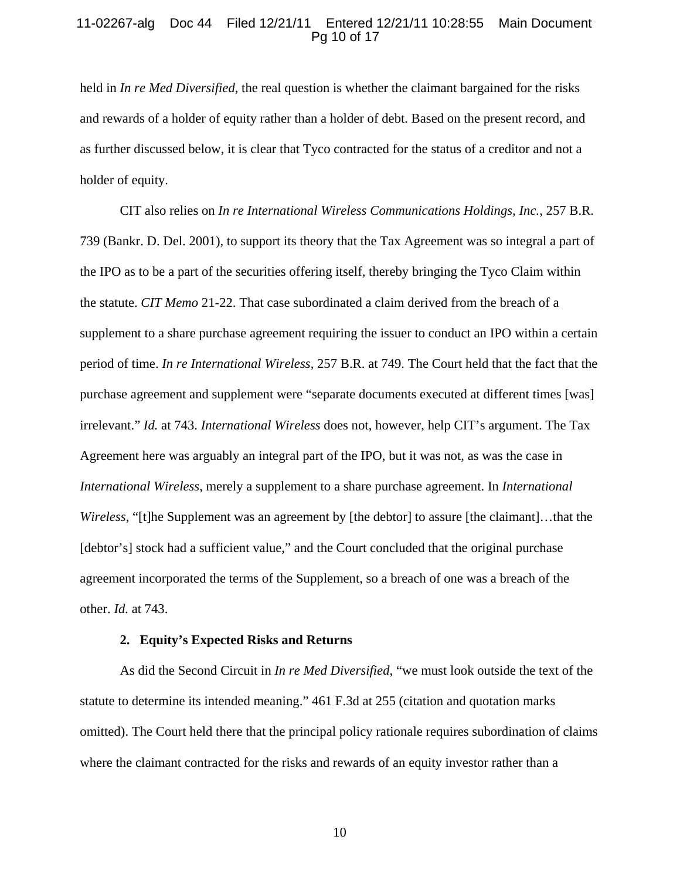### 11-02267-alg Doc 44 Filed 12/21/11 Entered 12/21/11 10:28:55 Main Document Pg 10 of 17

held in *In re Med Diversified*, the real question is whether the claimant bargained for the risks and rewards of a holder of equity rather than a holder of debt. Based on the present record, and as further discussed below, it is clear that Tyco contracted for the status of a creditor and not a holder of equity.

CIT also relies on *In re International Wireless Communications Holdings, Inc.*, 257 B.R. 739 (Bankr. D. Del. 2001), to support its theory that the Tax Agreement was so integral a part of the IPO as to be a part of the securities offering itself, thereby bringing the Tyco Claim within the statute. *CIT Memo* 21-22. That case subordinated a claim derived from the breach of a supplement to a share purchase agreement requiring the issuer to conduct an IPO within a certain period of time. *In re International Wireless*, 257 B.R. at 749. The Court held that the fact that the purchase agreement and supplement were "separate documents executed at different times [was] irrelevant." *Id.* at 743. *International Wireless* does not, however, help CIT's argument. The Tax Agreement here was arguably an integral part of the IPO, but it was not, as was the case in *International Wireless*, merely a supplement to a share purchase agreement. In *International Wireless*, "[t]he Supplement was an agreement by [the debtor] to assure [the claimant]...that the [debtor's] stock had a sufficient value," and the Court concluded that the original purchase agreement incorporated the terms of the Supplement, so a breach of one was a breach of the other. *Id.* at 743.

#### **2. Equity's Expected Risks and Returns**

As did the Second Circuit in *In re Med Diversified*, "we must look outside the text of the statute to determine its intended meaning." 461 F.3d at 255 (citation and quotation marks omitted). The Court held there that the principal policy rationale requires subordination of claims where the claimant contracted for the risks and rewards of an equity investor rather than a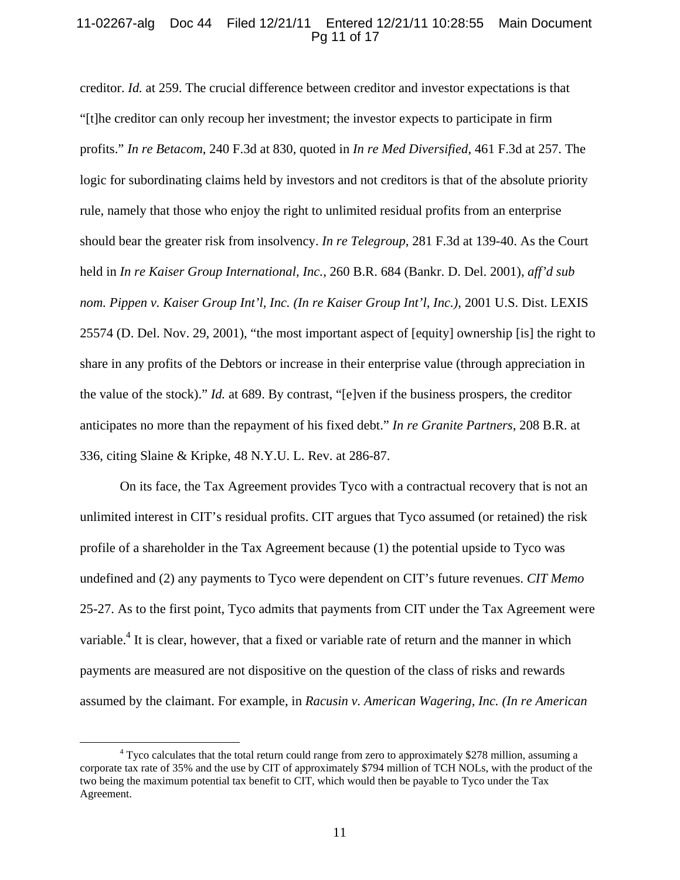# 11-02267-alg Doc 44 Filed 12/21/11 Entered 12/21/11 10:28:55 Main Document Pg 11 of 17

creditor. *Id.* at 259. The crucial difference between creditor and investor expectations is that "[t]he creditor can only recoup her investment; the investor expects to participate in firm profits." *In re Betacom*, 240 F.3d at 830, quoted in *In re Med Diversified*, 461 F.3d at 257. The logic for subordinating claims held by investors and not creditors is that of the absolute priority rule, namely that those who enjoy the right to unlimited residual profits from an enterprise should bear the greater risk from insolvency. *In re Telegroup*, 281 F.3d at 139-40. As the Court held in *In re Kaiser Group International, Inc.*, 260 B.R. 684 (Bankr. D. Del. 2001), *aff'd sub nom. Pippen v. Kaiser Group Int'l, Inc. (In re Kaiser Group Int'l, Inc.)*, 2001 U.S. Dist. LEXIS 25574 (D. Del. Nov. 29, 2001), "the most important aspect of [equity] ownership [is] the right to share in any profits of the Debtors or increase in their enterprise value (through appreciation in the value of the stock)." *Id.* at 689. By contrast, "[e]ven if the business prospers, the creditor anticipates no more than the repayment of his fixed debt." *In re Granite Partners*, 208 B.R. at 336, citing Slaine & Kripke, 48 N.Y.U. L. Rev. at 286-87.

On its face, the Tax Agreement provides Tyco with a contractual recovery that is not an unlimited interest in CIT's residual profits. CIT argues that Tyco assumed (or retained) the risk profile of a shareholder in the Tax Agreement because (1) the potential upside to Tyco was undefined and (2) any payments to Tyco were dependent on CIT's future revenues. *CIT Memo* 25-27. As to the first point, Tyco admits that payments from CIT under the Tax Agreement were variable.<sup>4</sup> It is clear, however, that a fixed or variable rate of return and the manner in which payments are measured are not dispositive on the question of the class of risks and rewards assumed by the claimant. For example, in *Racusin v. American Wagering, Inc. (In re American* 

 $\frac{1}{4}$ <sup>4</sup> Tyco calculates that the total return could range from zero to approximately \$278 million, assuming a corporate tax rate of 35% and the use by CIT of approximately \$794 million of TCH NOLs, with the product of the two being the maximum potential tax benefit to CIT, which would then be payable to Tyco under the Tax Agreement.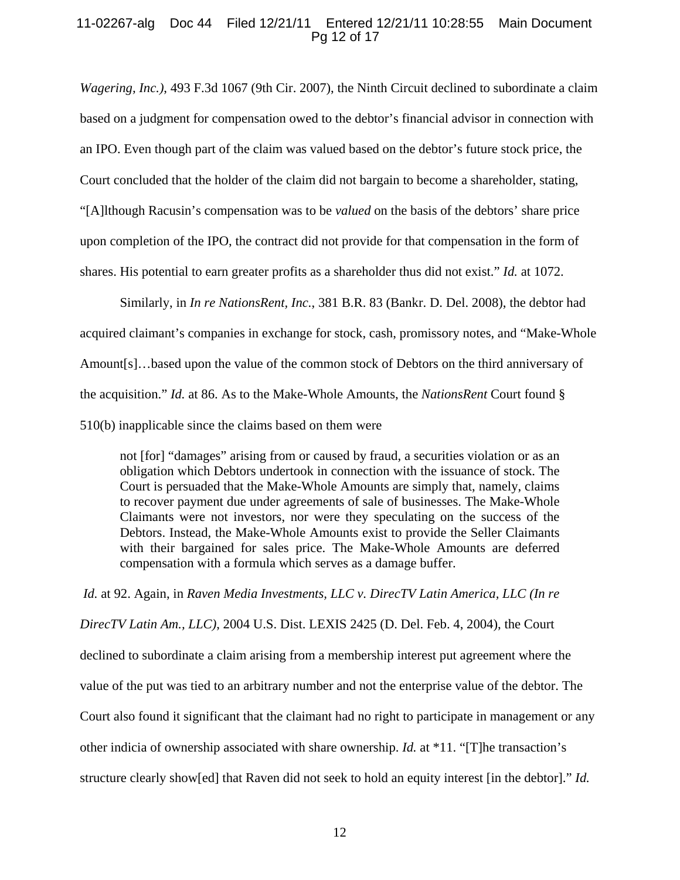# 11-02267-alg Doc 44 Filed 12/21/11 Entered 12/21/11 10:28:55 Main Document Pg 12 of 17

*Wagering, Inc.)*, 493 F.3d 1067 (9th Cir. 2007), the Ninth Circuit declined to subordinate a claim based on a judgment for compensation owed to the debtor's financial advisor in connection with an IPO. Even though part of the claim was valued based on the debtor's future stock price, the Court concluded that the holder of the claim did not bargain to become a shareholder, stating, "[A]lthough Racusin's compensation was to be *valued* on the basis of the debtors' share price upon completion of the IPO, the contract did not provide for that compensation in the form of shares. His potential to earn greater profits as a shareholder thus did not exist." *Id.* at 1072.

Similarly, in *In re NationsRent, Inc.*, 381 B.R. 83 (Bankr. D. Del. 2008), the debtor had acquired claimant's companies in exchange for stock, cash, promissory notes, and "Make-Whole Amount[s]…based upon the value of the common stock of Debtors on the third anniversary of the acquisition." *Id.* at 86. As to the Make-Whole Amounts, the *NationsRent* Court found § 510(b) inapplicable since the claims based on them were

not [for] "damages" arising from or caused by fraud, a securities violation or as an obligation which Debtors undertook in connection with the issuance of stock. The Court is persuaded that the Make-Whole Amounts are simply that, namely, claims to recover payment due under agreements of sale of businesses. The Make-Whole Claimants were not investors, nor were they speculating on the success of the Debtors. Instead, the Make-Whole Amounts exist to provide the Seller Claimants with their bargained for sales price. The Make-Whole Amounts are deferred compensation with a formula which serves as a damage buffer.

*Id.* at 92. Again, in *Raven Media Investments, LLC v. DirecTV Latin America, LLC (In re DirecTV Latin Am., LLC)*, 2004 U.S. Dist. LEXIS 2425 (D. Del. Feb. 4, 2004), the Court declined to subordinate a claim arising from a membership interest put agreement where the value of the put was tied to an arbitrary number and not the enterprise value of the debtor. The Court also found it significant that the claimant had no right to participate in management or any other indicia of ownership associated with share ownership. *Id.* at \*11. "[T]he transaction's structure clearly show[ed] that Raven did not seek to hold an equity interest [in the debtor]." *Id.*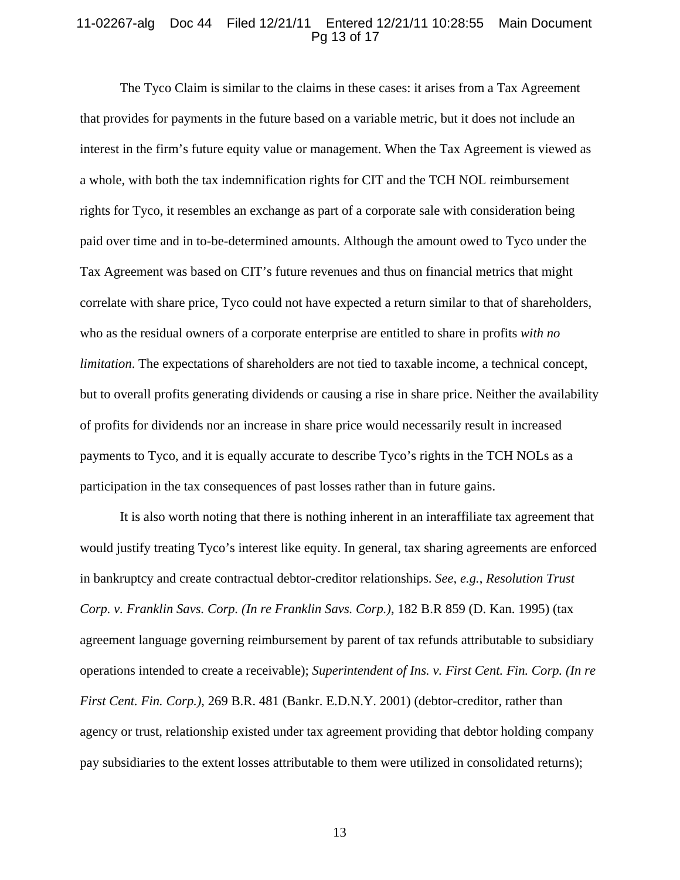### 11-02267-alg Doc 44 Filed 12/21/11 Entered 12/21/11 10:28:55 Main Document Pg 13 of 17

The Tyco Claim is similar to the claims in these cases: it arises from a Tax Agreement that provides for payments in the future based on a variable metric, but it does not include an interest in the firm's future equity value or management. When the Tax Agreement is viewed as a whole, with both the tax indemnification rights for CIT and the TCH NOL reimbursement rights for Tyco, it resembles an exchange as part of a corporate sale with consideration being paid over time and in to-be-determined amounts. Although the amount owed to Tyco under the Tax Agreement was based on CIT's future revenues and thus on financial metrics that might correlate with share price, Tyco could not have expected a return similar to that of shareholders, who as the residual owners of a corporate enterprise are entitled to share in profits *with no limitation*. The expectations of shareholders are not tied to taxable income, a technical concept, but to overall profits generating dividends or causing a rise in share price. Neither the availability of profits for dividends nor an increase in share price would necessarily result in increased payments to Tyco, and it is equally accurate to describe Tyco's rights in the TCH NOLs as a participation in the tax consequences of past losses rather than in future gains.

It is also worth noting that there is nothing inherent in an interaffiliate tax agreement that would justify treating Tyco's interest like equity. In general, tax sharing agreements are enforced in bankruptcy and create contractual debtor-creditor relationships. *See, e.g.*, *Resolution Trust Corp. v. Franklin Savs. Corp. (In re Franklin Savs. Corp.)*, 182 B.R 859 (D. Kan. 1995) (tax agreement language governing reimbursement by parent of tax refunds attributable to subsidiary operations intended to create a receivable); *Superintendent of Ins. v. First Cent. Fin. Corp. (In re First Cent. Fin. Corp.*), 269 B.R. 481 (Bankr. E.D.N.Y. 2001) (debtor-creditor, rather than agency or trust, relationship existed under tax agreement providing that debtor holding company pay subsidiaries to the extent losses attributable to them were utilized in consolidated returns);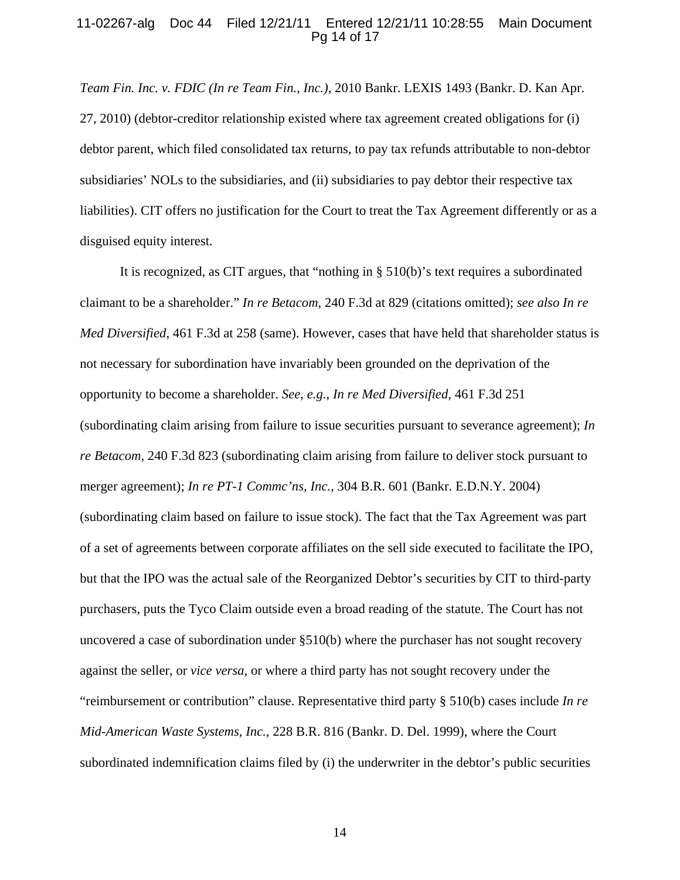### 11-02267-alg Doc 44 Filed 12/21/11 Entered 12/21/11 10:28:55 Main Document Pg 14 of 17

*Team Fin. Inc. v. FDIC (In re Team Fin., Inc.)*, 2010 Bankr. LEXIS 1493 (Bankr. D. Kan Apr. 27, 2010) (debtor-creditor relationship existed where tax agreement created obligations for (i) debtor parent, which filed consolidated tax returns, to pay tax refunds attributable to non-debtor subsidiaries' NOLs to the subsidiaries, and (ii) subsidiaries to pay debtor their respective tax liabilities). CIT offers no justification for the Court to treat the Tax Agreement differently or as a disguised equity interest.

It is recognized, as CIT argues, that "nothing in § 510(b)'s text requires a subordinated claimant to be a shareholder." *In re Betacom*, 240 F.3d at 829 (citations omitted); *see also In re Med Diversified*, 461 F.3d at 258 (same). However, cases that have held that shareholder status is not necessary for subordination have invariably been grounded on the deprivation of the opportunity to become a shareholder. *See, e.g.*, *In re Med Diversified*, 461 F.3d 251 (subordinating claim arising from failure to issue securities pursuant to severance agreement); *In re Betacom*, 240 F.3d 823 (subordinating claim arising from failure to deliver stock pursuant to merger agreement); *In re PT-1 Commc'ns, Inc.*, 304 B.R. 601 (Bankr. E.D.N.Y. 2004) (subordinating claim based on failure to issue stock). The fact that the Tax Agreement was part of a set of agreements between corporate affiliates on the sell side executed to facilitate the IPO, but that the IPO was the actual sale of the Reorganized Debtor's securities by CIT to third-party purchasers, puts the Tyco Claim outside even a broad reading of the statute. The Court has not uncovered a case of subordination under §510(b) where the purchaser has not sought recovery against the seller, or *vice versa*, or where a third party has not sought recovery under the "reimbursement or contribution" clause. Representative third party § 510(b) cases include *In re Mid-American Waste Systems, Inc.*, 228 B.R. 816 (Bankr. D. Del. 1999), where the Court subordinated indemnification claims filed by (i) the underwriter in the debtor's public securities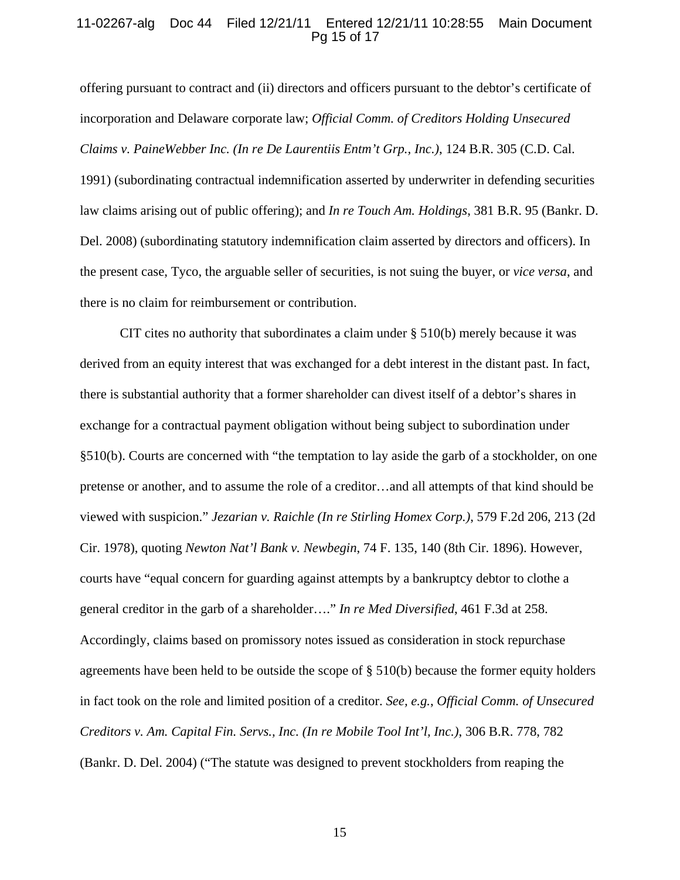## 11-02267-alg Doc 44 Filed 12/21/11 Entered 12/21/11 10:28:55 Main Document Pg 15 of 17

offering pursuant to contract and (ii) directors and officers pursuant to the debtor's certificate of incorporation and Delaware corporate law; *Official Comm. of Creditors Holding Unsecured Claims v. PaineWebber Inc. (In re De Laurentiis Entm't Grp., Inc.)*, 124 B.R. 305 (C.D. Cal. 1991) (subordinating contractual indemnification asserted by underwriter in defending securities law claims arising out of public offering); and *In re Touch Am. Holdings*, 381 B.R. 95 (Bankr. D. Del. 2008) (subordinating statutory indemnification claim asserted by directors and officers). In the present case, Tyco, the arguable seller of securities, is not suing the buyer, or *vice versa*, and there is no claim for reimbursement or contribution.

CIT cites no authority that subordinates a claim under  $\S 510(b)$  merely because it was derived from an equity interest that was exchanged for a debt interest in the distant past. In fact, there is substantial authority that a former shareholder can divest itself of a debtor's shares in exchange for a contractual payment obligation without being subject to subordination under §510(b). Courts are concerned with "the temptation to lay aside the garb of a stockholder, on one pretense or another, and to assume the role of a creditor…and all attempts of that kind should be viewed with suspicion." *Jezarian v. Raichle (In re Stirling Homex Corp.)*, 579 F.2d 206, 213 (2d Cir. 1978), quoting *Newton Nat'l Bank v. Newbegin*, 74 F. 135, 140 (8th Cir. 1896). However, courts have "equal concern for guarding against attempts by a bankruptcy debtor to clothe a general creditor in the garb of a shareholder…." *In re Med Diversified*, 461 F.3d at 258. Accordingly, claims based on promissory notes issued as consideration in stock repurchase agreements have been held to be outside the scope of  $\S$  510(b) because the former equity holders in fact took on the role and limited position of a creditor. *See, e.g.*, *Official Comm. of Unsecured Creditors v. Am. Capital Fin. Servs., Inc. (In re Mobile Tool Int'l, Inc.)*, 306 B.R. 778, 782 (Bankr. D. Del. 2004) ("The statute was designed to prevent stockholders from reaping the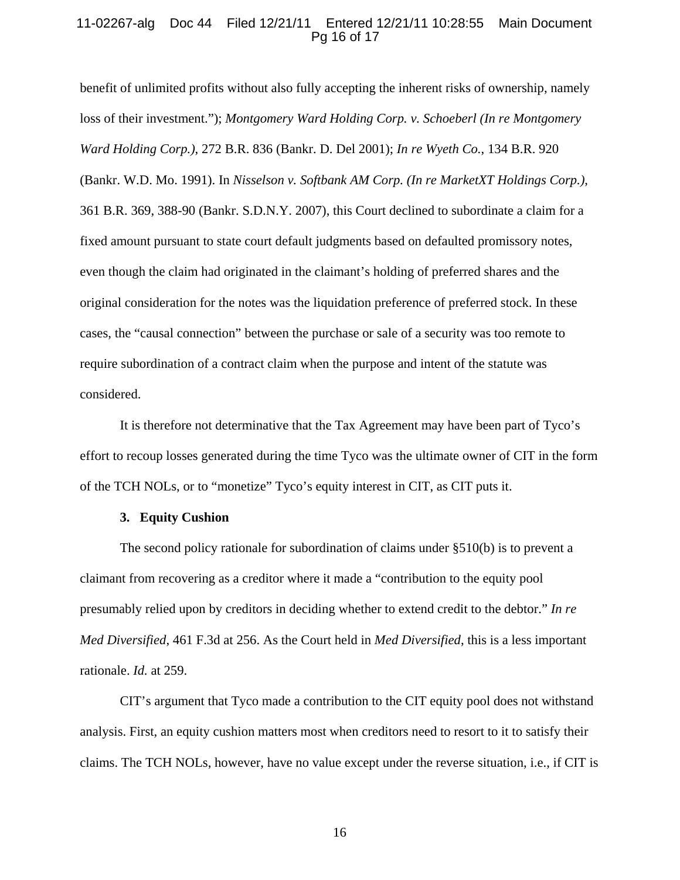# 11-02267-alg Doc 44 Filed 12/21/11 Entered 12/21/11 10:28:55 Main Document Pg 16 of 17

benefit of unlimited profits without also fully accepting the inherent risks of ownership, namely loss of their investment."); *Montgomery Ward Holding Corp. v. Schoeberl (In re Montgomery Ward Holding Corp.)*, 272 B.R. 836 (Bankr. D. Del 2001); *In re Wyeth Co.*, 134 B.R. 920 (Bankr. W.D. Mo. 1991). In *Nisselson v. Softbank AM Corp. (In re MarketXT Holdings Corp.)*, 361 B.R. 369, 388-90 (Bankr. S.D.N.Y. 2007), this Court declined to subordinate a claim for a fixed amount pursuant to state court default judgments based on defaulted promissory notes, even though the claim had originated in the claimant's holding of preferred shares and the original consideration for the notes was the liquidation preference of preferred stock. In these cases, the "causal connection" between the purchase or sale of a security was too remote to require subordination of a contract claim when the purpose and intent of the statute was considered.

It is therefore not determinative that the Tax Agreement may have been part of Tyco's effort to recoup losses generated during the time Tyco was the ultimate owner of CIT in the form of the TCH NOLs, or to "monetize" Tyco's equity interest in CIT, as CIT puts it.

#### **3. Equity Cushion**

The second policy rationale for subordination of claims under §510(b) is to prevent a claimant from recovering as a creditor where it made a "contribution to the equity pool presumably relied upon by creditors in deciding whether to extend credit to the debtor." *In re Med Diversified*, 461 F.3d at 256. As the Court held in *Med Diversified*, this is a less important rationale. *Id.* at 259.

CIT's argument that Tyco made a contribution to the CIT equity pool does not withstand analysis. First, an equity cushion matters most when creditors need to resort to it to satisfy their claims. The TCH NOLs, however, have no value except under the reverse situation, i.e., if CIT is